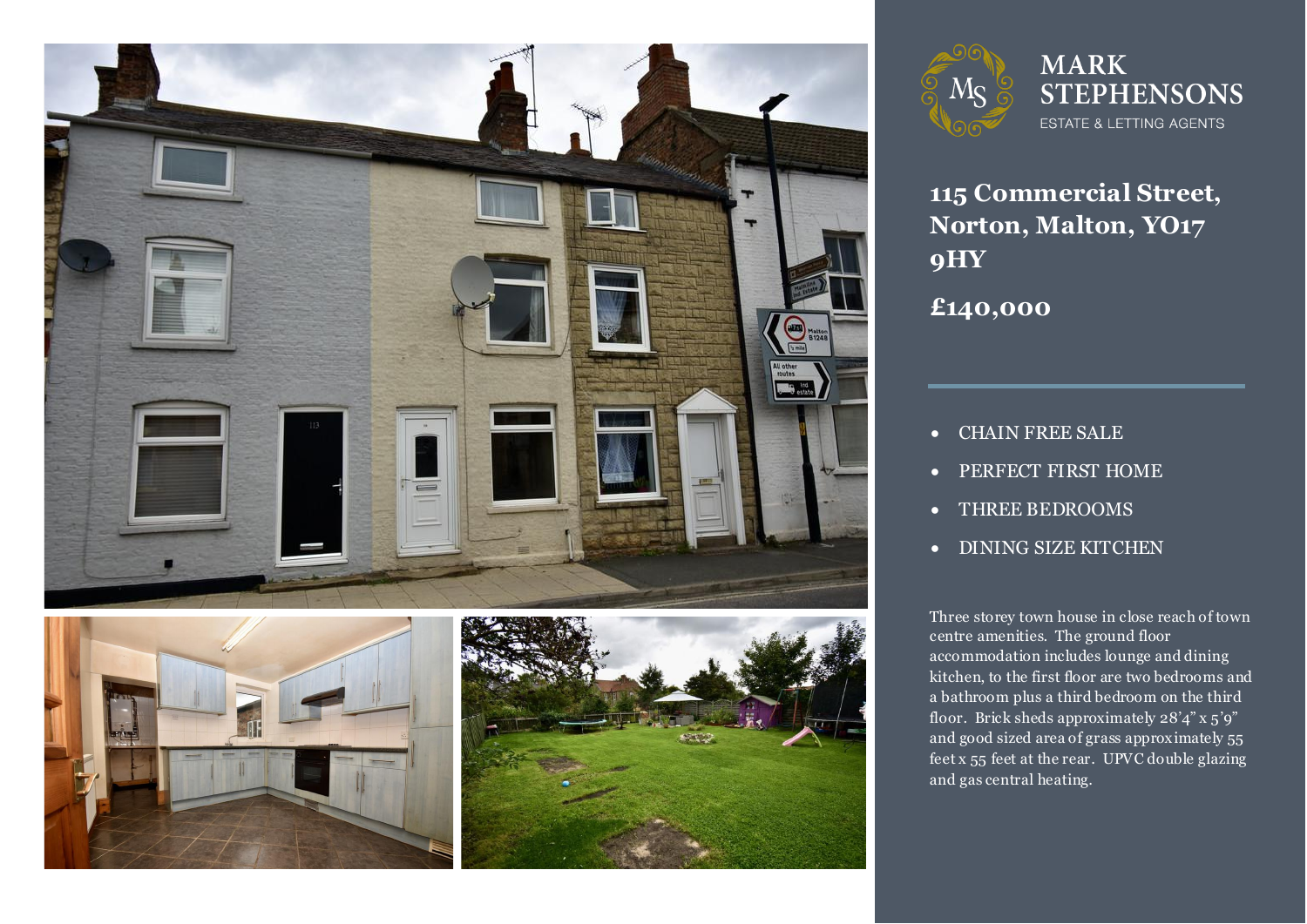







**115 Commercial Street, Norton, Malton, YO17 9HY**

**£140,000**

- CHAIN FREE SALE
- PERFECT FIRST HOME
- THREE BEDROOMS
- DINING SIZE KITCHEN

Three storey town house in close reach of town<br>centre amenities. The ground floor accommodation includes lounge and dining<br>kitchen, to the first floor are two bedrooms and floor. Brick sheds approximately 28'4" x 5'9"<br>and good sized area of grass approximately 55 feet x 55 feet at the rear. UPVC double glazing centre amenities. The ground floor accommodation includes lounge and dining a bathroom plus a third bedroom on the third floor. Brick sheds approximately 28'4" x 5'9" and gas central heating.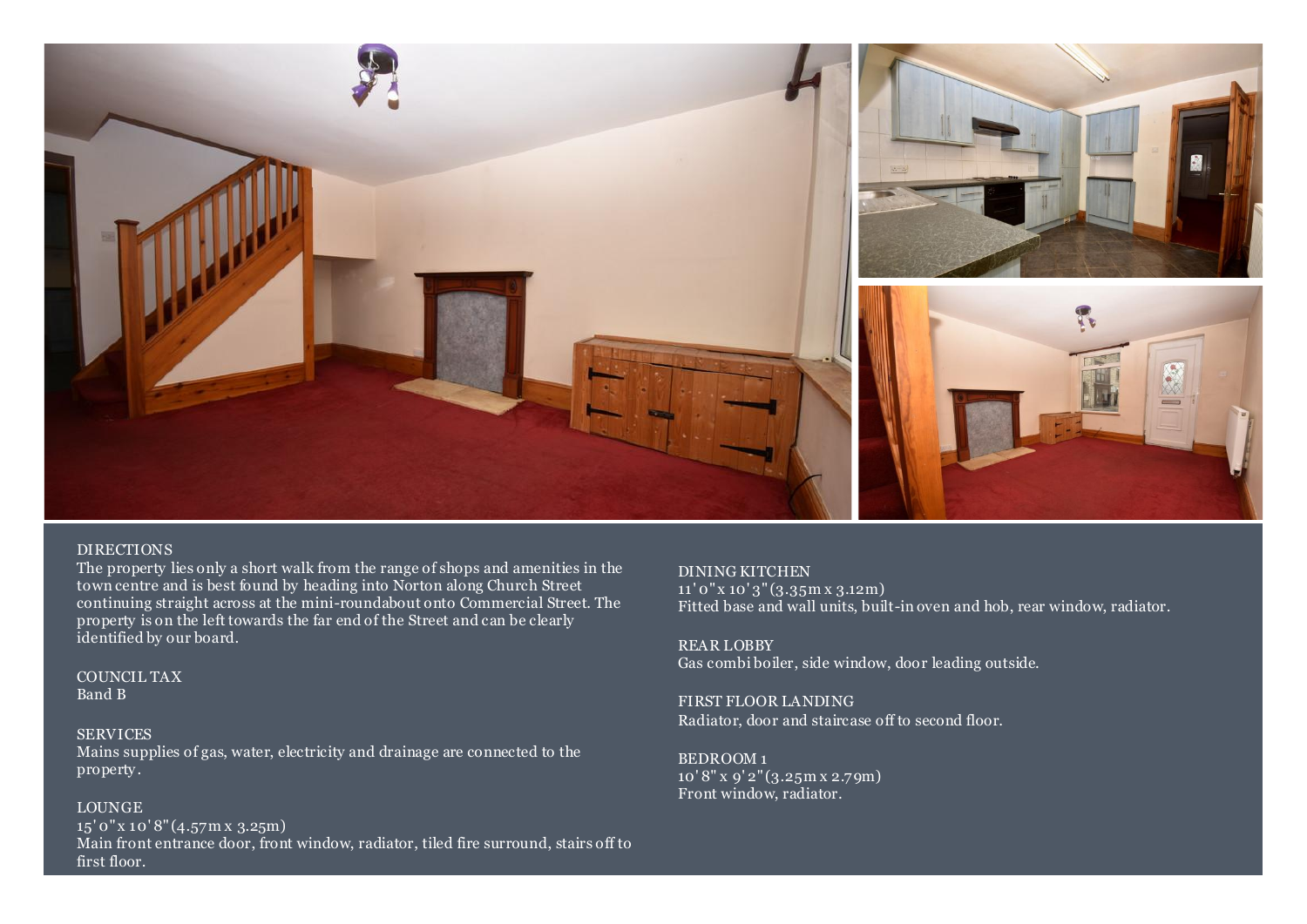

### DIRECTIONS

The property lies only a short walk from the range of shops and amenities in the town centre and is best found by heading into Norton along Church Street continuing straight across at the mini-roundabout onto Commercial Street. The property is on the left towards the far end of the Street and can be clearly identified by our board.

COUNCIL TAX Band B

## **SERVICES**

Mains supplies of gas, water, electricity and drainage are connected to the property .

## LOUNGE

15' 0" x 10' 8" (4.57m x 3.25m) Main front entrance door, front window, radiator, tiled fire surround, stairs off to first floor.

DINING KITCHEN 11' 0" x 10' 3" (3.35m x 3.12m) Fitted base and wall units, built-in oven and hob, rear window, radiator.

REAR LOBBY Gas combi boiler, side window, door leading outside.

FIRST FLOOR LANDING Radiator, door and staircase off to second floor.

BEDROOM 1 10' 8" x 9' 2" (3.25m x 2.79m) Front window, radiator.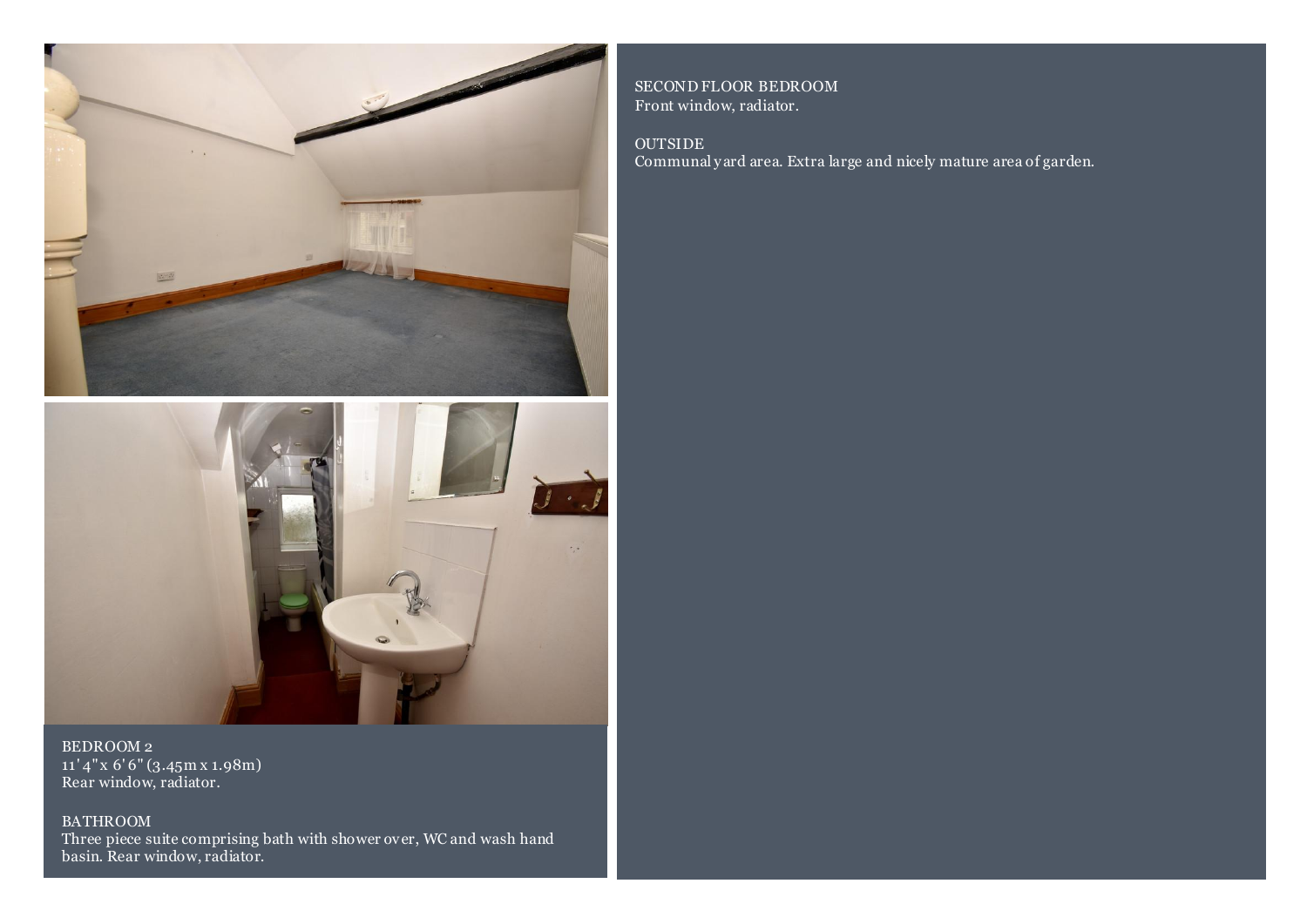



BEDROOM 2 11' 4" x 6' 6" (3.45m x 1.98m) Rear window, radiator.

BATHROOM Three piece suite comprising bath with shower over, WC and wash hand basin. Rear window, radiator.

SECOND FLOOR BEDROOM Front window, radiator.

OUTSIDE Communal y ard area. Extra large and nicely mature area of garden.